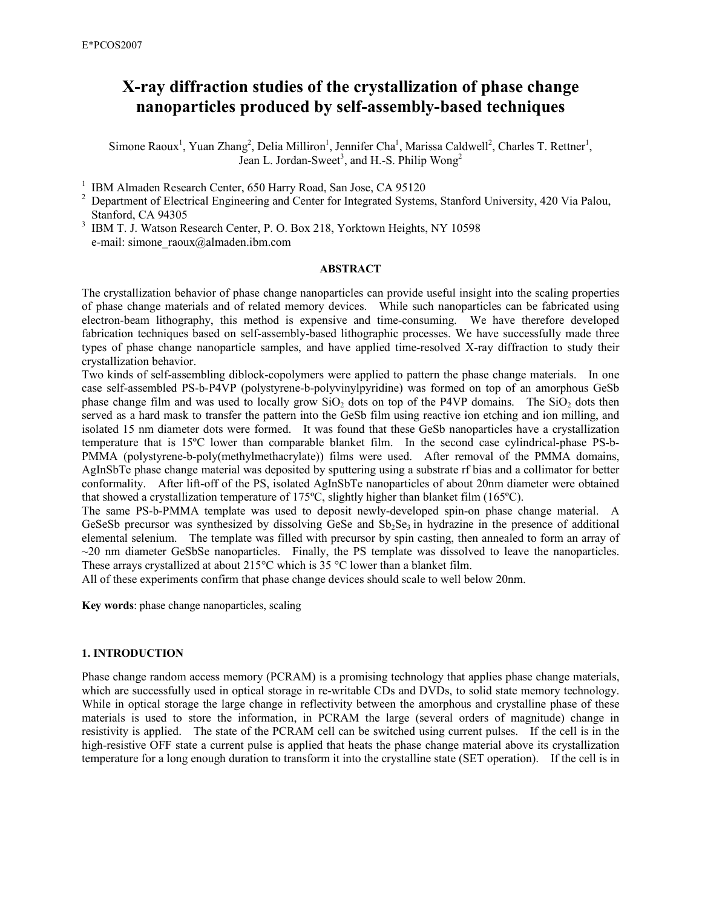# X-ray diffraction studies of the crystallization of phase change nanoparticles produced by self-assembly-based techniques

Simone Raoux<sup>1</sup>, Yuan Zhang<sup>2</sup>, Delia Milliron<sup>1</sup>, Jennifer Cha<sup>1</sup>, Marissa Caldwell<sup>2</sup>, Charles T. Rettner<sup>1</sup>, Jean L. Jordan-Sweet<sup>3</sup>, and H.-S. Philip Wong<sup>2</sup>

<sup>1</sup> IBM Almaden Research Center, 650 Harry Road, San Jose, CA 95120

- <sup>2</sup> Department of Electrical Engineering and Center for Integrated Systems, Stanford University, 420 Via Palou, Stanford, CA 94305
- <sup>3</sup> IBM T. J. Watson Research Center, P. O. Box 218, Yorktown Heights, NY 10598 e-mail: simone\_raoux@almaden.ibm.com

#### ABSTRACT

The crystallization behavior of phase change nanoparticles can provide useful insight into the scaling properties of phase change materials and of related memory devices. While such nanoparticles can be fabricated using electron-beam lithography, this method is expensive and time-consuming. We have therefore developed fabrication techniques based on self-assembly-based lithographic processes. We have successfully made three types of phase change nanoparticle samples, and have applied time-resolved X-ray diffraction to study their crystallization behavior.

Two kinds of self-assembling diblock-copolymers were applied to pattern the phase change materials. In one case self-assembled PS-b-P4VP (polystyrene-b-polyvinylpyridine) was formed on top of an amorphous GeSb phase change film and was used to locally grow  $SiO<sub>2</sub>$  dots on top of the P4VP domains. The  $SiO<sub>2</sub>$  dots then served as a hard mask to transfer the pattern into the GeSb film using reactive ion etching and ion milling, and isolated 15 nm diameter dots were formed. It was found that these GeSb nanoparticles have a crystallization temperature that is 15ºC lower than comparable blanket film. In the second case cylindrical-phase PS-b-PMMA (polystyrene-b-poly(methylmethacrylate)) films were used. After removal of the PMMA domains, AgInSbTe phase change material was deposited by sputtering using a substrate rf bias and a collimator for better conformality. After lift-off of the PS, isolated AgInSbTe nanoparticles of about 20nm diameter were obtained that showed a crystallization temperature of 175ºC, slightly higher than blanket film (165ºC).

The same PS-b-PMMA template was used to deposit newly-developed spin-on phase change material. A GeSeSb precursor was synthesized by dissolving GeSe and  $Sb_2Se_3$  in hydrazine in the presence of additional elemental selenium. The template was filled with precursor by spin casting, then annealed to form an array of  $\sim$ 20 nm diameter GeSbSe nanoparticles. Finally, the PS template was dissolved to leave the nanoparticles. These arrays crystallized at about 215°C which is 35 °C lower than a blanket film.

All of these experiments confirm that phase change devices should scale to well below 20nm.

Key words: phase change nanoparticles, scaling

# 1. INTRODUCTION

Phase change random access memory (PCRAM) is a promising technology that applies phase change materials, which are successfully used in optical storage in re-writable CDs and DVDs, to solid state memory technology. While in optical storage the large change in reflectivity between the amorphous and crystalline phase of these materials is used to store the information, in PCRAM the large (several orders of magnitude) change in resistivity is applied. The state of the PCRAM cell can be switched using current pulses. If the cell is in the high-resistive OFF state a current pulse is applied that heats the phase change material above its crystallization temperature for a long enough duration to transform it into the crystalline state (SET operation). If the cell is in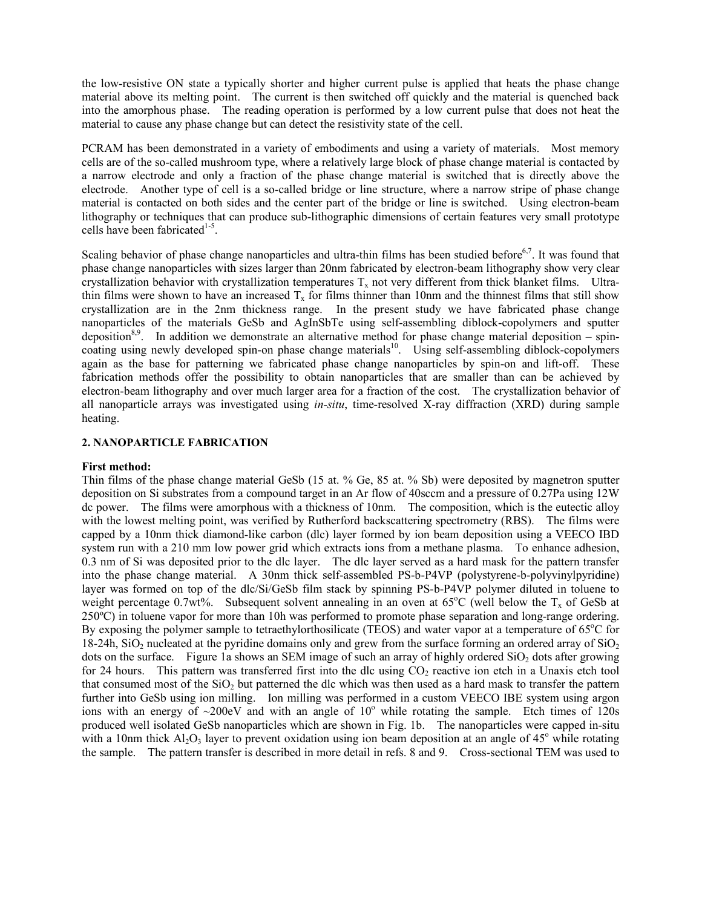the low-resistive ON state a typically shorter and higher current pulse is applied that heats the phase change material above its melting point. The current is then switched off quickly and the material is quenched back into the amorphous phase. The reading operation is performed by a low current pulse that does not heat the material to cause any phase change but can detect the resistivity state of the cell.

PCRAM has been demonstrated in a variety of embodiments and using a variety of materials. Most memory cells are of the so-called mushroom type, where a relatively large block of phase change material is contacted by a narrow electrode and only a fraction of the phase change material is switched that is directly above the electrode. Another type of cell is a so-called bridge or line structure, where a narrow stripe of phase change material is contacted on both sides and the center part of the bridge or line is switched. Using electron-beam lithography or techniques that can produce sub-lithographic dimensions of certain features very small prototype cells have been fabricated $1-5$ .

Scaling behavior of phase change nanoparticles and ultra-thin films has been studied before<sup>6,7</sup>. It was found that phase change nanoparticles with sizes larger than 20nm fabricated by electron-beam lithography show very clear crystallization behavior with crystallization temperatures  $T<sub>x</sub>$  not very different from thick blanket films. Ultrathin films were shown to have an increased  $T<sub>x</sub>$  for films thinner than 10nm and the thinnest films that still show crystallization are in the 2nm thickness range. In the present study we have fabricated phase change nanoparticles of the materials GeSb and AgInSbTe using self-assembling diblock-copolymers and sputter deposition<sup>8,9</sup>. In addition we demonstrate an alternative method for phase change material deposition – spincoating using newly developed spin-on phase change materials<sup>10</sup>. Using self-assembling diblock-copolymers again as the base for patterning we fabricated phase change nanoparticles by spin-on and lift-off. These fabrication methods offer the possibility to obtain nanoparticles that are smaller than can be achieved by electron-beam lithography and over much larger area for a fraction of the cost. The crystallization behavior of all nanoparticle arrays was investigated using  $in-situ$ , time-resolved X-ray diffraction (XRD) during sample heating.

## 2. NANOPARTICLE FABRICATION

# First method:

Thin films of the phase change material GeSb (15 at. % Ge, 85 at. % Sb) were deposited by magnetron sputter deposition on Si substrates from a compound target in an Ar flow of 40sccm and a pressure of 0.27Pa using 12W dc power. The films were amorphous with a thickness of 10nm. The composition, which is the eutectic alloy with the lowest melting point, was verified by Rutherford backscattering spectrometry (RBS). The films were capped by a 10nm thick diamond-like carbon (dlc) layer formed by ion beam deposition using a VEECO IBD system run with a 210 mm low power grid which extracts ions from a methane plasma. To enhance adhesion, 0.3 nm of Si was deposited prior to the dlc layer. The dlc layer served as a hard mask for the pattern transfer into the phase change material. A 30nm thick self-assembled PS-b-P4VP (polystyrene-b-polyvinylpyridine) layer was formed on top of the dlc/Si/GeSb film stack by spinning PS-b-P4VP polymer diluted in toluene to weight percentage 0.7wt%. Subsequent solvent annealing in an oven at  $65^{\circ}$ C (well below the T<sub>x</sub> of GeSb at 250ºC) in toluene vapor for more than 10h was performed to promote phase separation and long-range ordering. By exposing the polymer sample to tetraethylorthosilicate (TEOS) and water vapor at a temperature of  $65^{\circ}$ C for 18-24h,  $SiO<sub>2</sub>$  nucleated at the pyridine domains only and grew from the surface forming an ordered array of  $SiO<sub>2</sub>$ dots on the surface. Figure 1a shows an SEM image of such an array of highly ordered  $SiO<sub>2</sub>$  dots after growing for 24 hours. This pattern was transferred first into the dlc using  $CO<sub>2</sub>$  reactive ion etch in a Unaxis etch tool that consumed most of the  $SiO<sub>2</sub>$  but patterned the dlc which was then used as a hard mask to transfer the pattern further into GeSb using ion milling. Ion milling was performed in a custom VEECO IBE system using argon ions with an energy of  $\sim$ 200eV and with an angle of  $10^{\circ}$  while rotating the sample. Etch times of 120s produced well isolated GeSb nanoparticles which are shown in Fig. 1b. The nanoparticles were capped in-situ with a 10nm thick  $Al_2O_3$  layer to prevent oxidation using ion beam deposition at an angle of 45° while rotating the sample. The pattern transfer is described in more detail in refs. 8 and 9. Cross-sectional TEM was used to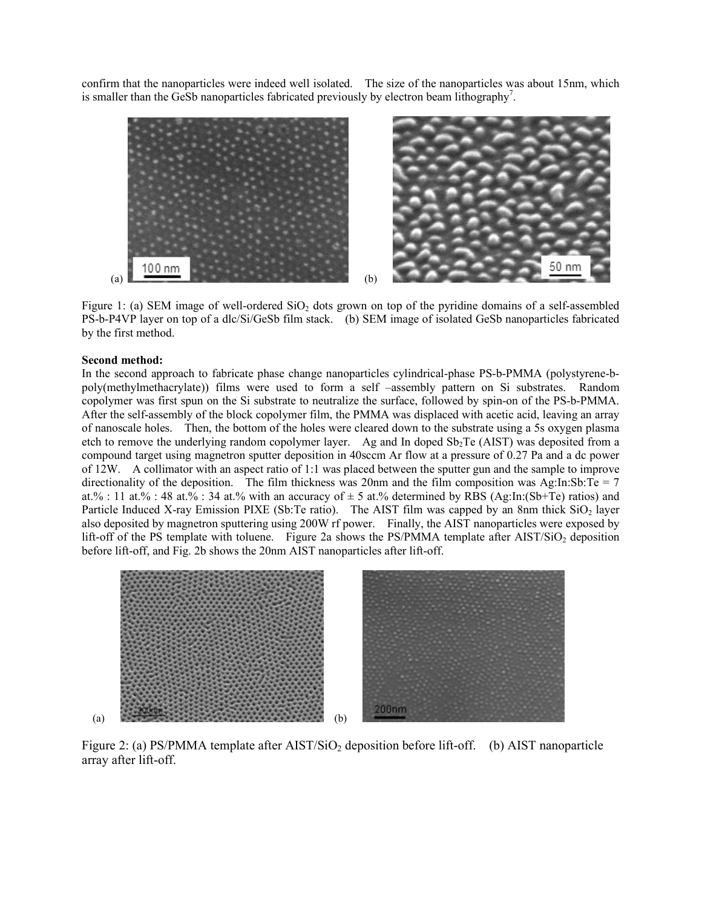confirm that the nanoparticles were indeed well isolated. The size of the nanoparticles was about 15nm, which is smaller than the GeSb nanoparticles fabricated previously by electron beam lithography<sup>7</sup>.



Figure 1: (a) SEM image of well-ordered  $SiO<sub>2</sub>$  dots grown on top of the pyridine domains of a self-assembled PS-b-P4VP layer on top of a dlc/Si/GeSb film stack. (b) SEM image of isolated GeSb nanoparticles fabricated by the first method.

## Second method:

In the second approach to fabricate phase change nanoparticles cylindrical-phase PS-b-PMMA (polystyrene-bpoly(methylmethacrylate)) films were used to form a self –assembly pattern on Si substrates. Random copolymer was first spun on the Si substrate to neutralize the surface, followed by spin-on of the PS-b-PMMA. After the self-assembly of the block copolymer film, the PMMA was displaced with acetic acid, leaving an array of nanoscale holes. Then, the bottom of the holes were cleared down to the substrate using a 5s oxygen plasma etch to remove the underlying random copolymer layer. Ag and In doped  $Sb<sub>2</sub>Te (AIST)$  was deposited from a compound target using magnetron sputter deposition in 40sccm Ar flow at a pressure of 0.27 Pa and a dc power of 12W. A collimator with an aspect ratio of 1:1 was placed between the sputter gun and the sample to improve directionality of the deposition. The film thickness was 20nm and the film composition was Ag:In:Sb:Te = 7 at.% : 11 at.% : 48 at.% : 34 at.% with an accuracy of  $\pm$  5 at.% determined by RBS (Ag:In:(Sb+Te) ratios) and Particle Induced X-ray Emission PIXE (Sb:Te ratio). The AIST film was capped by an 8nm thick  $SiO<sub>2</sub>$  layer also deposited by magnetron sputtering using 200W rf power. Finally, the AIST nanoparticles were exposed by lift-off of the PS template with toluene. Figure 2a shows the PS/PMMA template after  $AIST/SiO<sub>2</sub>$  deposition before lift-off, and Fig. 2b shows the 20nm AIST nanoparticles after lift-off.



Figure 2: (a) PS/PMMA template after AIST/SiO<sub>2</sub> deposition before lift-off. (b) AIST nanoparticle array after lift-off.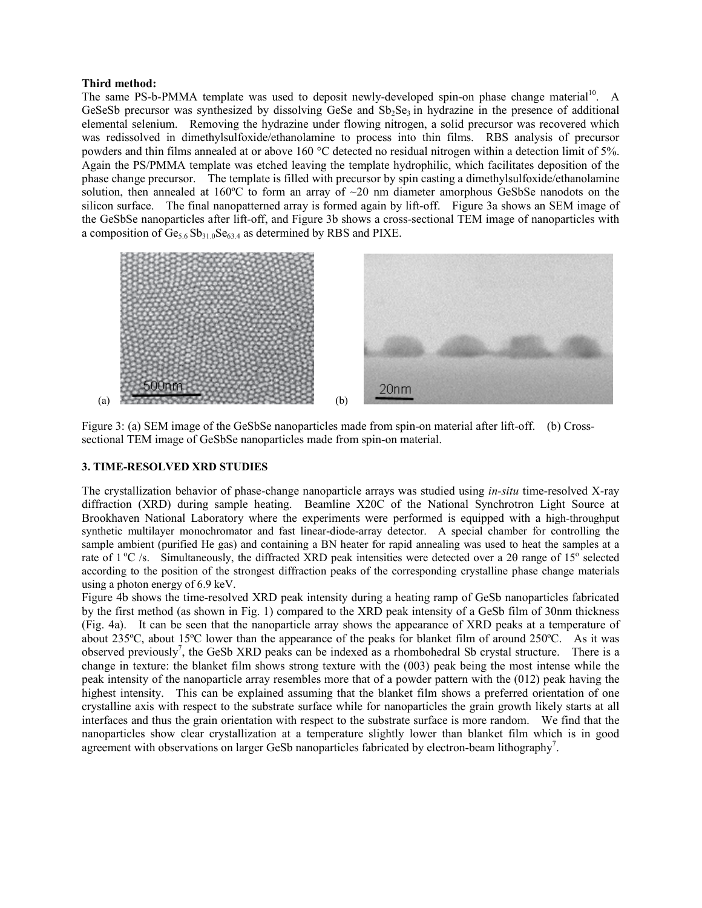## Third method:

The same PS-b-PMMA template was used to deposit newly-developed spin-on phase change material<sup>10</sup>. A GeSeSb precursor was synthesized by dissolving GeSe and  $Sb_2Se_3$  in hydrazine in the presence of additional elemental selenium. Removing the hydrazine under flowing nitrogen, a solid precursor was recovered which was redissolved in dimethylsulfoxide/ethanolamine to process into thin films. RBS analysis of precursor powders and thin films annealed at or above 160 °C detected no residual nitrogen within a detection limit of 5%. Again the PS/PMMA template was etched leaving the template hydrophilic, which facilitates deposition of the phase change precursor. The template is filled with precursor by spin casting a dimethylsulfoxide/ethanolamine solution, then annealed at 160°C to form an array of ~20 nm diameter amorphous GeSbSe nanodots on the silicon surface. The final nanopatterned array is formed again by lift-off. Figure 3a shows an SEM image of the GeSbSe nanoparticles after lift-off, and Figure 3b shows a cross-sectional TEM image of nanoparticles with a composition of  $Ge_{5.6}Sb_{31.0}Se_{63.4}$  as determined by RBS and PIXE.



Figure 3: (a) SEM image of the GeSbSe nanoparticles made from spin-on material after lift-off. (b) Crosssectional TEM image of GeSbSe nanoparticles made from spin-on material.

#### 3. TIME-RESOLVED XRD STUDIES

The crystallization behavior of phase-change nanoparticle arrays was studied using *in-situ* time-resolved X-ray diffraction (XRD) during sample heating. Beamline X20C of the National Synchrotron Light Source at Brookhaven National Laboratory where the experiments were performed is equipped with a high-throughput synthetic multilayer monochromator and fast linear-diode-array detector. A special chamber for controlling the sample ambient (purified He gas) and containing a BN heater for rapid annealing was used to heat the samples at a rate of  $1^{\circ}$ C /s. Simultaneously, the diffracted XRD peak intensities were detected over a 20 range of  $15^{\circ}$  selected according to the position of the strongest diffraction peaks of the corresponding crystalline phase change materials using a photon energy of 6.9 keV.

Figure 4b shows the time-resolved XRD peak intensity during a heating ramp of GeSb nanoparticles fabricated by the first method (as shown in Fig. 1) compared to the XRD peak intensity of a GeSb film of 30nm thickness (Fig. 4a). It can be seen that the nanoparticle array shows the appearance of XRD peaks at a temperature of about 235ºC, about 15ºC lower than the appearance of the peaks for blanket film of around 250ºC. As it was observed previously<sup>7</sup>, the GeSb XRD peaks can be indexed as a rhombohedral Sb crystal structure. There is a change in texture: the blanket film shows strong texture with the (003) peak being the most intense while the peak intensity of the nanoparticle array resembles more that of a powder pattern with the (012) peak having the highest intensity. This can be explained assuming that the blanket film shows a preferred orientation of one crystalline axis with respect to the substrate surface while for nanoparticles the grain growth likely starts at all interfaces and thus the grain orientation with respect to the substrate surface is more random. We find that the nanoparticles show clear crystallization at a temperature slightly lower than blanket film which is in good agreement with observations on larger GeSb nanoparticles fabricated by electron-beam lithography<sup>7</sup>.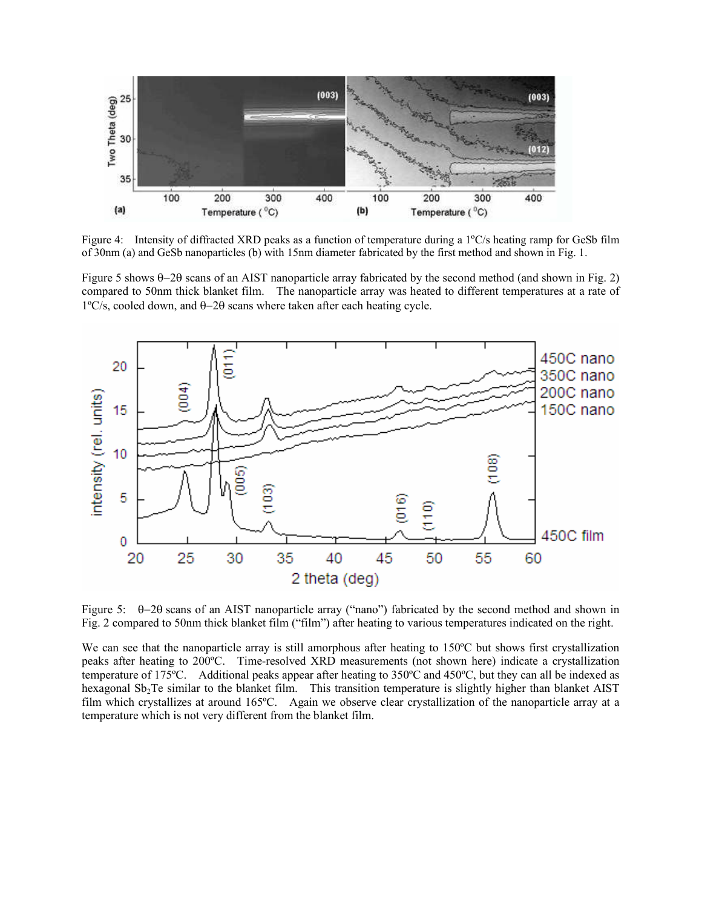

Figure 4: Intensity of diffracted XRD peaks as a function of temperature during a 1<sup>o</sup>C/s heating ramp for GeSb film of 30nm (a) and GeSb nanoparticles (b) with 15nm diameter fabricated by the first method and shown in Fig. 1.

Figure 5 shows θ−2θ scans of an AIST nanoparticle array fabricated by the second method (and shown in Fig. 2) compared to 50nm thick blanket film. The nanoparticle array was heated to different temperatures at a rate of 1ºC/s, cooled down, and θ−2θ scans where taken after each heating cycle.



Figure 5: θ−2θ scans of an AIST nanoparticle array ("nano") fabricated by the second method and shown in Fig. 2 compared to 50nm thick blanket film ("film") after heating to various temperatures indicated on the right.

We can see that the nanoparticle array is still amorphous after heating to 150°C but shows first crystallization peaks after heating to 200ºC. Time-resolved XRD measurements (not shown here) indicate a crystallization temperature of 175ºC. Additional peaks appear after heating to 350ºC and 450ºC, but they can all be indexed as hexagonal Sb<sub>2</sub>Te similar to the blanket film. This transition temperature is slightly higher than blanket AIST film which crystallizes at around 165ºC. Again we observe clear crystallization of the nanoparticle array at a temperature which is not very different from the blanket film.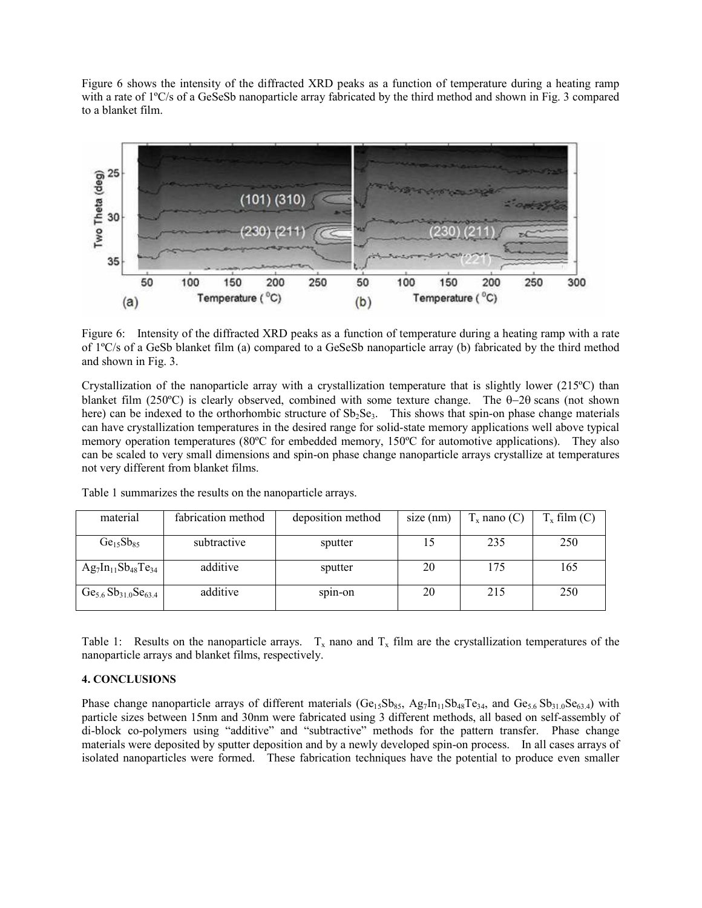Figure 6 shows the intensity of the diffracted XRD peaks as a function of temperature during a heating ramp with a rate of 1<sup>o</sup>C/s of a GeSeSb nanoparticle array fabricated by the third method and shown in Fig. 3 compared to a blanket film.



Figure 6: Intensity of the diffracted XRD peaks as a function of temperature during a heating ramp with a rate of 1ºC/s of a GeSb blanket film (a) compared to a GeSeSb nanoparticle array (b) fabricated by the third method and shown in Fig. 3.

Crystallization of the nanoparticle array with a crystallization temperature that is slightly lower (215ºC) than blanket film (250ºC) is clearly observed, combined with some texture change. The θ−2θ scans (not shown here) can be indexed to the orthorhombic structure of  $Sb_2Se_3$ . This shows that spin-on phase change materials can have crystallization temperatures in the desired range for solid-state memory applications well above typical memory operation temperatures (80ºC for embedded memory, 150ºC for automotive applications). They also can be scaled to very small dimensions and spin-on phase change nanoparticle arrays crystallize at temperatures not very different from blanket films.

| material                          | fabrication method | deposition method | $size$ (nm) | $T_x$ nano (C) | $T_x$ film $(C)$ |
|-----------------------------------|--------------------|-------------------|-------------|----------------|------------------|
| Ge <sub>15</sub> Sb <sub>85</sub> | subtractive        | sputter           |             | 235            | 250              |
| $Ag_7In_{11}Sb_{48}Te_{34}$       | additive           | sputter           | 20          | 175            | 165              |
| $Ge_{5.6}Sb_{31.0}Se_{63.4}$      | additive           | spin-on           | 20          | 215            | 250              |

Table 1 summarizes the results on the nanoparticle arrays.

Table 1: Results on the nanoparticle arrays.  $T_x$  nano and  $T_x$  film are the crystallization temperatures of the nanoparticle arrays and blanket films, respectively.

# 4. CONCLUSIONS

Phase change nanoparticle arrays of different materials  $(Ge_{15}Sb_{85}, Ag_{7}In_{11}Sb_{48}Te_{34},$  and  $Ge_{5.6}Sb_{31.0}Se_{63.4}$ ) with particle sizes between 15nm and 30nm were fabricated using 3 different methods, all based on self-assembly of di-block co-polymers using "additive" and "subtractive" methods for the pattern transfer. Phase change materials were deposited by sputter deposition and by a newly developed spin-on process. In all cases arrays of isolated nanoparticles were formed. These fabrication techniques have the potential to produce even smaller